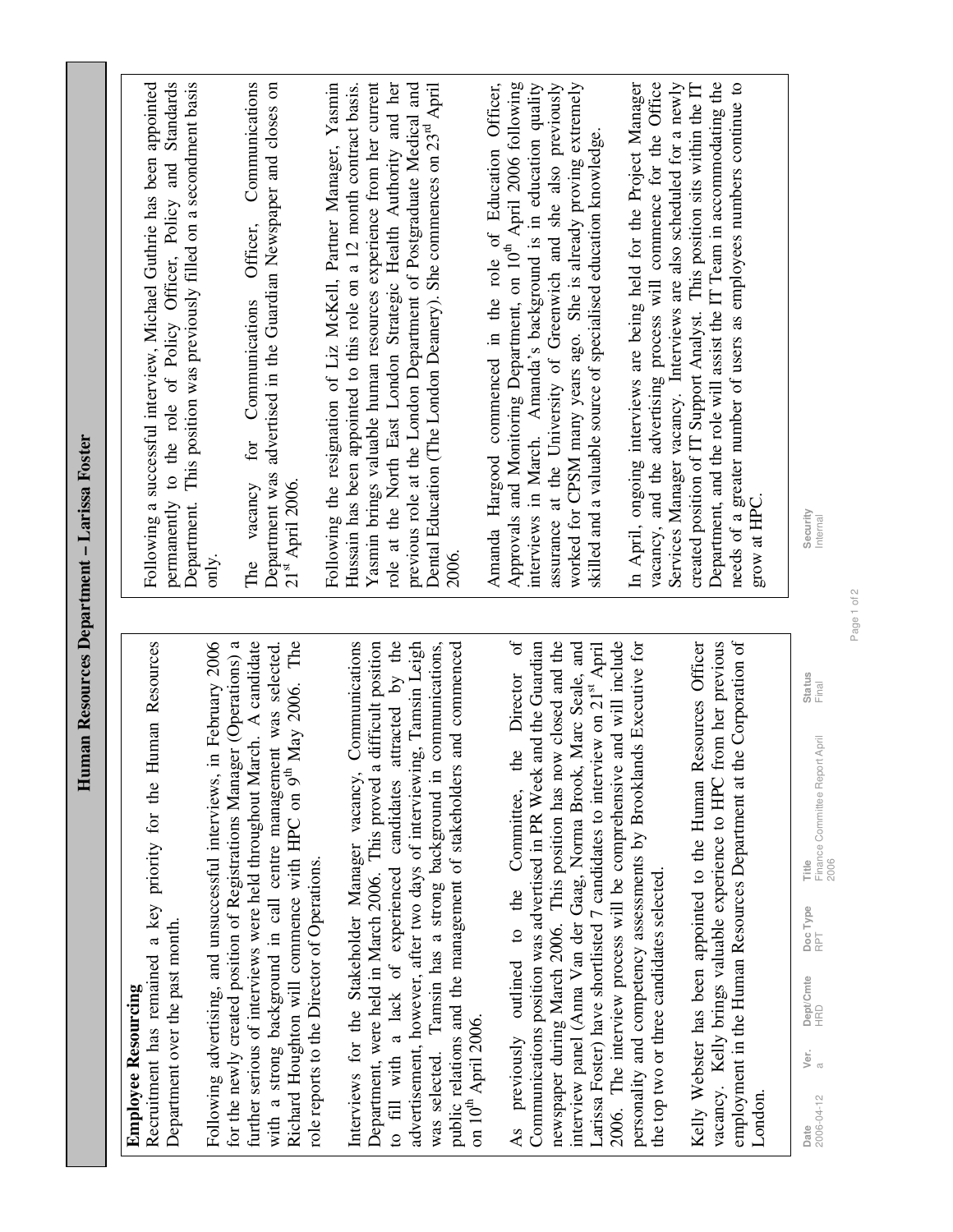| Ŧ                                                                                                                                                                                                                                                                                                                                                                                                                                                              | uman Resources Department – Larissa Foster                                                                                                                                                                                                                                                                                                                                                                                                                 |
|----------------------------------------------------------------------------------------------------------------------------------------------------------------------------------------------------------------------------------------------------------------------------------------------------------------------------------------------------------------------------------------------------------------------------------------------------------------|------------------------------------------------------------------------------------------------------------------------------------------------------------------------------------------------------------------------------------------------------------------------------------------------------------------------------------------------------------------------------------------------------------------------------------------------------------|
| Human Resources<br>Recruitment has remained a key priority for the<br>Department over the past month.<br><b>Employee Resourcing</b>                                                                                                                                                                                                                                                                                                                            | Department. This position was previously filled on a secondment basis<br>permanently to the role of Policy Officer, Policy and Standards<br>Following a successful interview, Michael Guthrie has been appointed                                                                                                                                                                                                                                           |
| Following advertising, and unsuccessful interviews, in February 2006<br>further serious of interviews were held throughout March. A candidate<br>Richard Houghton will commence with HPC on 9 <sup>th</sup> May 2006. The<br>for the newly created position of Registrations Manager (Operations) a<br>with a strong background in call centre management was selected.<br>role reports to the Director of Operations.                                         | Communications<br>Department was advertised in the Guardian Newspaper and closes on<br>Officer,<br>Communications<br>for<br>The vacancy<br>21 <sup>st</sup> April 2006.<br>only.                                                                                                                                                                                                                                                                           |
| Communications<br>a difficult position<br>attracted by the<br>advertisement, however, after two days of interviewing, Tamsin Leigh<br>public relations and the management of stakeholders and commenced<br>was selected. Tamsin has a strong background in communications,<br>Interviews for the Stakeholder Manager vacancy,<br>Department, were held in March 2006. This proved<br>to fill with a lack of experienced candidates<br>on $10^{th}$ April 2006. | role at the North East London Strategic Health Authority and her<br>Following the resignation of Liz McKell, Partner Manager, Yasmin<br>Yasmin brings valuable human resources experience from her current<br>previous role at the London Department of Postgraduate Medical and<br>Dental Education (The London Deanery). She commences on 23 <sup>rd</sup> April<br>Hussain has been appointed to this role on a 12 month contract basis.<br>2006.       |
| the Director of<br>newspaper during March 2006. This position has now closed and the<br>interview panel (Anna Van der Gaag, Norma Brook, Marc Seale, and<br>Communications position was advertised in PR Week and the Guardian<br>Larissa Foster) have shortlisted 7 candidates to interview on 21 <sup>st</sup> April<br>As previously outlined to the Committee,                                                                                             | Amanda Hargood commenced in the role of Education Officer,<br>Approvals and Monitoring Department, on 10 <sup>th</sup> April 2006 following<br>interviews in March. Amanda's background is in education quality<br>assurance at the University of Greenwich and she also previously<br>worked for CPSM many years ago. She is already proving extremely<br>skilled and a valuable source of specialised education knowledge.                               |
| 2006. The interview process will be comprehensive and will include<br>personality and competency assessments by Brooklands Executive for<br>the Corporation of<br>Resources Officer<br>from her previous<br>Kelly Webster has been appointed to the Human<br>vacancy. Kelly brings valuable experience to HPC<br>employment in the Human Resources Department at<br>the top two or three candidates selected.<br>London.                                       | vacancy, and the advertising process will commence for the Office<br>Department, and the role will assist the IT Team in accommodating the<br>In April, ongoing interviews are being held for the Project Manager<br>Services Manager vacancy. Interviews are also scheduled for a newly<br>needs of a greater number of users as employees numbers continue to<br>created position of IT Support Analyst. This position sits within the IT<br>grow at HPC |
|                                                                                                                                                                                                                                                                                                                                                                                                                                                                |                                                                                                                                                                                                                                                                                                                                                                                                                                                            |

Security<br>Internal **Date Status Status Status Status Status Status Status Status Status Status** Final Internal

2006-04-12 a HRD RPT Finance Committee Report April

 $\frac{\text{Doc Type}}{\text{RPT}}$ 

Dept/Cmte<br>HRD

 $\frac{1}{\sqrt{\pi}}$ 

**Date**<br>2006-04-12

**Title**<br>Finance Committee Report April<br>2006

Status<br>Final

Page 1 of 2 Page 1 of 2